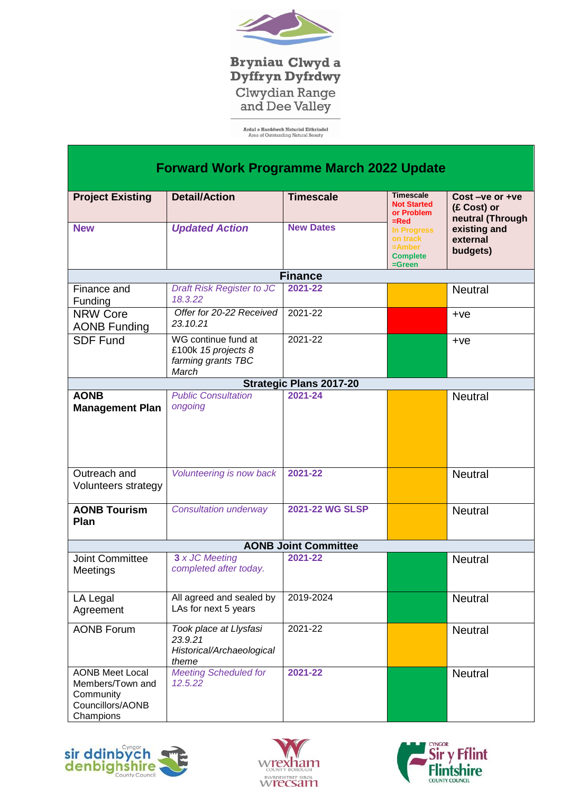

**Bryniau Clwyd a<br>Dyffryn Dyfrdwy** Clwydian Range<br>and Dee Valley

**Ardal o Harddwch Naturiol Eithriadol**<br>Area of Outstanding Natural Beauty

| <b>Forward Work Programme March 2022 Update</b>                                          |                                                                           |                                |                                                                                                                                             |                                                                                           |  |
|------------------------------------------------------------------------------------------|---------------------------------------------------------------------------|--------------------------------|---------------------------------------------------------------------------------------------------------------------------------------------|-------------------------------------------------------------------------------------------|--|
| <b>Project Existing</b>                                                                  | <b>Detail/Action</b>                                                      | <b>Timescale</b>               | <b>Timescale</b><br><b>Not Started</b><br>or Problem<br>$=$ Red<br><b>In Progress</b><br>on track<br>$=$ Amber<br><b>Complete</b><br>=Green | Cost-ve or +ve<br>(£ Cost) or<br>neutral (Through<br>existing and<br>external<br>budgets) |  |
| <b>New</b>                                                                               | <b>Updated Action</b>                                                     | <b>New Dates</b>               |                                                                                                                                             |                                                                                           |  |
|                                                                                          |                                                                           | <b>Finance</b>                 |                                                                                                                                             |                                                                                           |  |
| Finance and<br>Funding                                                                   | <b>Draft Risk Register to JC</b><br>18.3.22                               | 2021-22                        |                                                                                                                                             | <b>Neutral</b>                                                                            |  |
| <b>NRW Core</b><br><b>AONB Funding</b>                                                   | Offer for 20-22 Received<br>23.10.21                                      | 2021-22                        |                                                                                                                                             | $+ve$                                                                                     |  |
| <b>SDF Fund</b>                                                                          | WG continue fund at<br>£100k 15 projects 8<br>farming grants TBC<br>March | 2021-22                        |                                                                                                                                             | $+ve$                                                                                     |  |
|                                                                                          |                                                                           | <b>Strategic Plans 2017-20</b> |                                                                                                                                             |                                                                                           |  |
| <b>AONB</b><br><b>Management Plan</b>                                                    | <b>Public Consultation</b><br>ongoing                                     | 2021-24                        |                                                                                                                                             | <b>Neutral</b>                                                                            |  |
| Outreach and<br>Volunteers strategy                                                      | Volunteering is now back                                                  | 2021-22                        |                                                                                                                                             | <b>Neutral</b>                                                                            |  |
| <b>AONB Tourism</b><br>Plan                                                              | <b>Consultation underway</b>                                              | <b>2021-22 WG SLSP</b>         |                                                                                                                                             | <b>Neutral</b>                                                                            |  |
| <b>AONB Joint Committee</b>                                                              |                                                                           |                                |                                                                                                                                             |                                                                                           |  |
| <b>Joint Committee</b><br>Meetings                                                       | 3 x JC Meeting<br>completed after today.                                  | 2021-22                        |                                                                                                                                             | <b>Neutral</b>                                                                            |  |
| LA Legal<br>Agreement                                                                    | All agreed and sealed by<br>LAs for next 5 years                          | 2019-2024                      |                                                                                                                                             | <b>Neutral</b>                                                                            |  |
| <b>AONB Forum</b>                                                                        | Took place at Llysfasi<br>23.9.21<br>Historical/Archaeological<br>theme   | 2021-22                        |                                                                                                                                             | <b>Neutral</b>                                                                            |  |
| <b>AONB Meet Local</b><br>Members/Town and<br>Community<br>Councillors/AONB<br>Champions | <b>Meeting Scheduled for</b><br>12.5.22                                   | 2021-22                        |                                                                                                                                             | <b>Neutral</b>                                                                            |  |





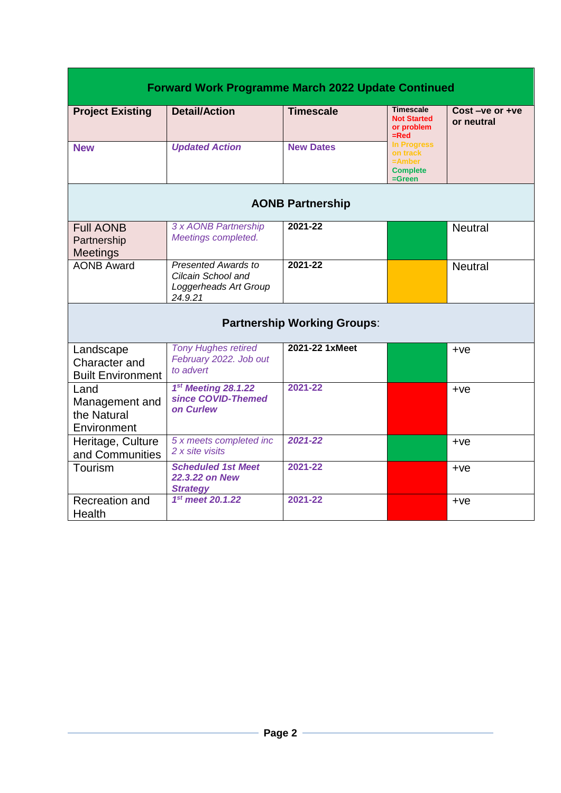| <b>Forward Work Programme March 2022 Update Continued</b> |                                                                               |                  |                                                                          |                                    |  |
|-----------------------------------------------------------|-------------------------------------------------------------------------------|------------------|--------------------------------------------------------------------------|------------------------------------|--|
| <b>Project Existing</b>                                   | <b>Detail/Action</b>                                                          | <b>Timescale</b> | <b>Timescale</b><br><b>Not Started</b><br>or problem<br>$=$ Red          | $Cost - ve$ or $+ve$<br>or neutral |  |
| <b>New</b>                                                | <b>Updated Action</b>                                                         | <b>New Dates</b> | <b>In Progress</b><br>on track<br>$=$ Amber<br><b>Complete</b><br>=Green |                                    |  |
| <b>AONB Partnership</b>                                   |                                                                               |                  |                                                                          |                                    |  |
| <b>Full AONB</b><br>Partnership<br><b>Meetings</b>        | 3 x AONB Partnership<br>Meetings completed.                                   | 2021-22          |                                                                          | <b>Neutral</b>                     |  |
| <b>AONB Award</b>                                         | Presented Awards to<br>Cilcain School and<br>Loggerheads Art Group<br>24.9.21 | 2021-22          |                                                                          | <b>Neutral</b>                     |  |
| <b>Partnership Working Groups:</b>                        |                                                                               |                  |                                                                          |                                    |  |
| Landscape<br>Character and<br><b>Built Environment</b>    | <b>Tony Hughes retired</b><br>February 2022. Job out<br>to advert             | 2021-22 1xMeet   |                                                                          | $+ve$                              |  |
| Land<br>Management and<br>the Natural<br>Environment      | 1st Meeting 28.1.22<br>since COVID-Themed<br>on Curlew                        | 2021-22          |                                                                          | $+ve$                              |  |
| Heritage, Culture<br>and Communities                      | 5 x meets completed inc<br>2 x site visits                                    | 2021-22          |                                                                          | $+ve$                              |  |
| Tourism                                                   | <b>Scheduled 1st Meet</b><br>22.3.22 on New<br><b>Strategy</b>                | 2021-22          |                                                                          | $+ve$                              |  |
| Recreation and<br>Health                                  | 1st meet 20.1.22                                                              | 2021-22          |                                                                          | $+ve$                              |  |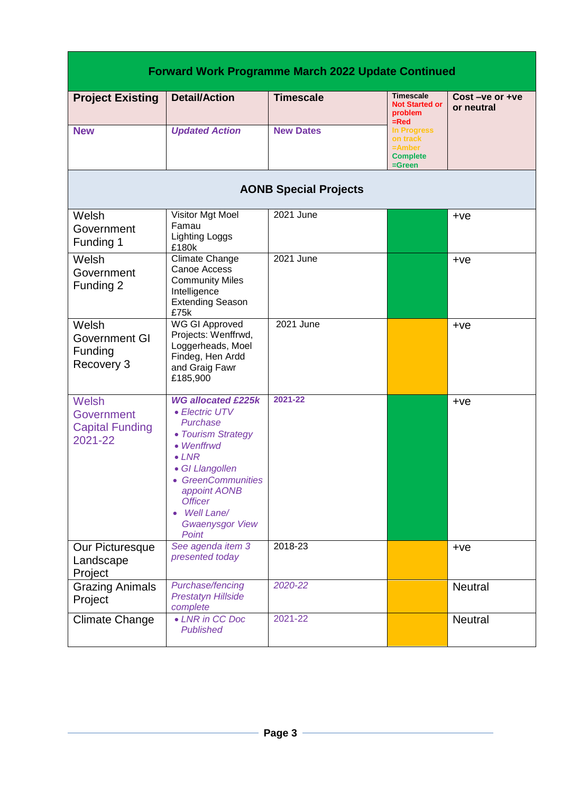| <b>Forward Work Programme March 2022 Update Continued</b> |                                                                                                                                                                                                                                          |                  |                                                                   |                                    |  |
|-----------------------------------------------------------|------------------------------------------------------------------------------------------------------------------------------------------------------------------------------------------------------------------------------------------|------------------|-------------------------------------------------------------------|------------------------------------|--|
| <b>Project Existing</b>                                   | <b>Detail/Action</b>                                                                                                                                                                                                                     | <b>Timescale</b> | <b>Timescale</b><br><b>Not Started or</b><br>problem<br>=Red      | $Cost - ve$ or $+ve$<br>or neutral |  |
| <b>New</b>                                                | <b>Updated Action</b>                                                                                                                                                                                                                    | <b>New Dates</b> | In Progress<br>on track<br>=Amber<br><b>Complete</b><br>$=$ Green |                                    |  |
| <b>AONB Special Projects</b>                              |                                                                                                                                                                                                                                          |                  |                                                                   |                                    |  |
| Welsh<br>Government<br>Funding 1                          | Visitor Mgt Moel<br>Famau<br><b>Lighting Loggs</b><br>£180k                                                                                                                                                                              | 2021 June        |                                                                   | $+ve$                              |  |
| Welsh<br>Government<br>Funding 2                          | Climate Change<br>Canoe Access<br><b>Community Miles</b><br>Intelligence<br><b>Extending Season</b><br>£75k                                                                                                                              | 2021 June        |                                                                   | $+ve$                              |  |
| Welsh<br>Government GI<br>Funding<br>Recovery 3           | <b>WG GI Approved</b><br>Projects: Wenffrwd,<br>Loggerheads, Moel<br>Findeg, Hen Ardd<br>and Graig Fawr<br>£185,900                                                                                                                      | 2021 June        |                                                                   | $+ve$                              |  |
| Welsh<br>Government<br><b>Capital Funding</b><br>2021-22  | <b>WG allocated £225k</b><br>• Electric UTV<br>Purchase<br>• Tourism Strategy<br>• Wenffrwd<br>$\bullet$ LNR<br>• GI Llangollen<br>• GreenCommunities<br>appoint AONB<br><b>Officer</b><br>Well Lane/<br><b>Gwaenysgor View</b><br>Point | 2021-22          |                                                                   | $+ve$                              |  |
| Our Picturesque<br>Landscape<br>Project                   | See agenda item 3<br>presented today                                                                                                                                                                                                     | 2018-23          |                                                                   | $+ve$                              |  |
| <b>Grazing Animals</b><br>Project                         | Purchase/fencing<br><b>Prestatyn Hillside</b><br>complete                                                                                                                                                                                | 2020-22          |                                                                   | <b>Neutral</b>                     |  |
| <b>Climate Change</b>                                     | • LNR in CC Doc<br><b>Published</b>                                                                                                                                                                                                      | 2021-22          |                                                                   | Neutral                            |  |